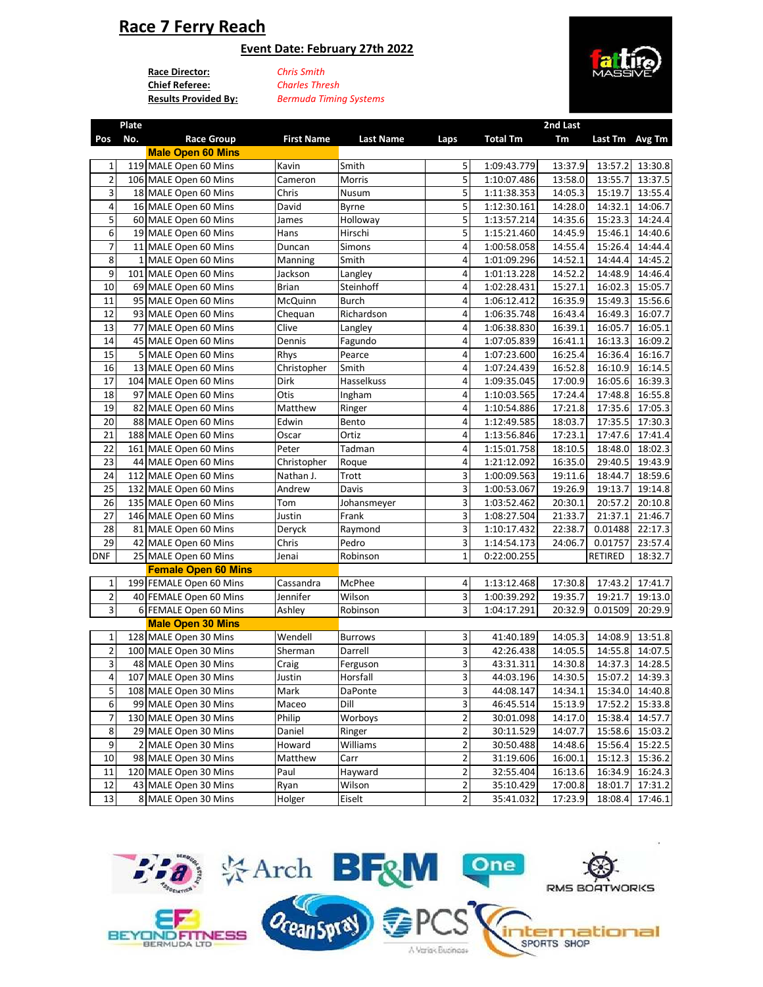# **Race 7 Ferry Reach**

### **Event Date: February 27th 2022**

**Race Director:** *Chris Smith* **Chief Referee:**

**Plate** 

**Results Provided By:** *Bermuda Timing Systems Charles Thresh*



**2nd Last** 

| Pos                        | - 66<br>No. | <b>Race Group</b>        | <b>First Name</b> | <b>Last Name</b> | Laps                    | <b>Total Tm</b> | znu Last<br>Tm | Last Tm Avg Tm |                 |
|----------------------------|-------------|--------------------------|-------------------|------------------|-------------------------|-----------------|----------------|----------------|-----------------|
|                            |             | <b>Male Open 60 Mins</b> |                   |                  |                         |                 |                |                |                 |
| 1                          |             | 119 MALE Open 60 Mins    | Kavin             | Smith            | 5                       | 1:09:43.779     | 13:37.9        | 13:57.2        | 13:30.8         |
| $\overline{2}$             |             | 106 MALE Open 60 Mins    | Cameron           | Morris           | 5                       | 1:10:07.486     | 13:58.0        | 13:55.7        | 13:37.5         |
| 3                          |             | 18 MALE Open 60 Mins     | Chris             | Nusum            | 5                       | 1:11:38.353     | 14:05.3        | 15:19.7        | 13:55.4         |
| 4                          |             | 16 MALE Open 60 Mins     | David             | Byrne            | 5                       | 1:12:30.161     | 14:28.0        | 14:32.1        | 14:06.7         |
| 5                          |             | 60 MALE Open 60 Mins     | James             | Holloway         | 5                       | 1:13:57.214     | 14:35.6        | 15:23.3        | 14:24.4         |
| 6                          |             | 19 MALE Open 60 Mins     | Hans              | Hirschi          | 5                       | 1:15:21.460     | 14:45.9        | 15:46.1        | 14:40.6         |
| $\overline{7}$             |             | 11 MALE Open 60 Mins     | Duncan            | Simons           | $\overline{4}$          | 1:00:58.058     | 14:55.4        | 15:26.4        | 14:44.4         |
| 8                          |             | 1 MALE Open 60 Mins      | Manning           | Smith            | 4                       | 1:01:09.296     | 14:52.1        | 14:44.4        | 14:45.2         |
| 9                          |             | 101 MALE Open 60 Mins    | Jackson           | Langley          | 4                       | 1:01:13.228     | 14:52.2        | 14:48.9        | 14:46.4         |
| 10                         |             | 69 MALE Open 60 Mins     | <b>Brian</b>      | Steinhoff        | 4                       | 1:02:28.431     | 15:27.1        | 16:02.3        | 15:05.7         |
| 11                         |             | 95 MALE Open 60 Mins     | McQuinn           | Burch            | 4                       | 1:06:12.412     | 16:35.9        | 15:49.3        | 15:56.6         |
| 12                         |             | 93 MALE Open 60 Mins     | Chequan           | Richardson       | 4                       | 1:06:35.748     | 16:43.4        | 16:49.3        | 16:07.7         |
| 13                         |             | 77 MALE Open 60 Mins     | Clive             | Langley          | 4                       | 1:06:38.830     | 16:39.1        | 16:05.7        | 16:05.1         |
| 14                         |             | 45 MALE Open 60 Mins     | Dennis            | Fagundo          | $\overline{\mathbf{4}}$ | 1:07:05.839     | 16:41.1        | 16:13.3        | 16:09.2         |
| 15                         |             | 5 MALE Open 60 Mins      | Rhys              | Pearce           | 4                       | 1:07:23.600     | 16:25.4        | 16:36.4        | 16:16.7         |
| 16                         |             | 13 MALE Open 60 Mins     | Christopher       | Smith            | 4                       | 1:07:24.439     | 16:52.8        | 16:10.9        | 16:14.5         |
| 17                         |             | 104 MALE Open 60 Mins    | Dirk              | Hasselkuss       | 4                       | 1:09:35.045     | 17:00.9        | 16:05.6        | 16:39.3         |
| 18                         |             | 97 MALE Open 60 Mins     | Otis              | Ingham           | 4                       | 1:10:03.565     | 17:24.4        | 17:48.8        | 16:55.8         |
| 19                         |             | 82 MALE Open 60 Mins     | Matthew           | Ringer           | 4                       | 1:10:54.886     | 17:21.8        | 17:35.6        | 17:05.3         |
| 20                         |             | 88 MALE Open 60 Mins     | Edwin             | Bento            | 4                       | 1:12:49.585     | 18:03.7        | 17:35.5        | 17:30.3         |
| 21                         |             | 188 MALE Open 60 Mins    | Oscar             | Ortiz            | 4                       | 1:13:56.846     | 17:23.1        | 17:47.6        | 17:41.4         |
| 22                         |             | 161 MALE Open 60 Mins    | Peter             | Tadman           | 4                       | 1:15:01.758     | 18:10.5        | 18:48.0        | 18:02.3         |
| 23                         |             | 44 MALE Open 60 Mins     | Christopher       | Roque            | 4                       | 1:21:12.092     | 16:35.0        | 29:40.5        | 19:43.9         |
| 24                         |             | 112 MALE Open 60 Mins    | Nathan J.         | Trott            | 3                       | 1:00:09.563     | 19:11.6        | 18:44.7        | 18:59.6         |
| 25                         |             | 132 MALE Open 60 Mins    | Andrew            | Davis            | 3                       | 1:00:53.067     | 19:26.9        | 19:13.7        | 19:14.8         |
| 26                         |             | 135 MALE Open 60 Mins    | Tom               | Johansmeyer      | 3                       | 1:03:52.462     | 20:30.1        | 20:57.2        | 20:10.8         |
| 27                         |             | 146 MALE Open 60 Mins    | Justin            | Frank            | 3                       | 1:08:27.504     | 21:33.7        | 21:37.1        | 21:46.7         |
| 28                         |             | 81 MALE Open 60 Mins     | Deryck            | Raymond          | $\overline{\mathbf{3}}$ | 1:10:17.432     | 22:38.7        | 0.01488        | 22:17.3         |
| 29                         |             | 42 MALE Open 60 Mins     | Chris             | Pedro            | 3                       | 1:14:54.173     | 24:06.7        | 0.01757        | 23:57.4         |
| <b>DNF</b>                 |             | 25 MALE Open 60 Mins     | Jenai             | Robinson         | $\mathbf 1$             | 0:22:00.255     |                | RETIRED        | 18:32.7         |
| <b>Female Open 60 Mins</b> |             |                          |                   |                  |                         |                 |                |                |                 |
| $\mathbf{1}$               |             | 199 FEMALE Open 60 Mins  | Cassandra         | McPhee           | 4                       | 1:13:12.468     | 17:30.8        | 17:43.2        | 17:41.7         |
| $\mathbf 2$                |             | 40 FEMALE Open 60 Mins   | Jennifer          | Wilson           | $\overline{\mathbf{3}}$ | 1:00:39.292     | 19:35.7        | 19:21.7        | 19:13.0         |
| 3                          |             | 6 FEMALE Open 60 Mins    | Ashley            | Robinson         | 3                       | 1:04:17.291     | 20:32.9        | 0.01509        | 20:29.9         |
| <b>Male Open 30 Mins</b>   |             |                          |                   |                  |                         |                 |                |                |                 |
| 1                          |             | 128 MALE Open 30 Mins    | Wendell           | <b>Burrows</b>   | 3                       | 41:40.189       | 14:05.3        | 14:08.9        | 13:51.8         |
| $\overline{2}$             |             | 100 MALE Open 30 Mins    | Sherman           | Darrell          | 3                       | 42:26.438       | 14:05.5        | 14:55.8        | 14:07.5         |
| 3                          |             | 48 MALE Open 30 Mins     | Craig             | Ferguson         | 3                       | 43:31.311       | 14:30.8        | 14:37.3        | 14:28.5         |
| 4                          |             | 107 MALE Open 30 Mins    | Justin            | Horsfall         | 3                       | 44:03.196       | 14:30.5        | 15:07.2        | 14:39.3         |
| 5                          |             | 108 MALE Open 30 Mins    | Mark              | DaPonte          | $\mathbf{3}$            | 44:08.147       | 14:34.1        |                | 15:34.0 14:40.8 |
| $\boldsymbol{6}$           |             | 99 MALE Open 30 Mins     | Maceo             | Dill             | $\overline{\mathbf{3}}$ | 46:45.514       | 15:13.9        | 17:52.2        | 15:33.8         |
| $\overline{7}$             |             | 130 MALE Open 30 Mins    | Philip            | Worboys          | $\overline{\mathbf{c}}$ | 30:01.098       | 14:17.0        | 15:38.4        | 14:57.7         |
| 8                          |             | 29 MALE Open 30 Mins     | Daniel            | Ringer           | $\overline{2}$          | 30:11.529       | 14:07.7        | 15:58.6        | 15:03.2         |
| 9                          |             | 2 MALE Open 30 Mins      | Howard            | Williams         | 2                       | 30:50.488       | 14:48.6        | 15:56.4        | 15:22.5         |
| 10                         |             | 98 MALE Open 30 Mins     | Matthew           | Carr             | $\overline{2}$          | 31:19.606       | 16:00.1        | 15:12.3        | 15:36.2         |
| 11                         |             | 120 MALE Open 30 Mins    | Paul              | Hayward          | $\overline{\mathbf{c}}$ | 32:55.404       | 16:13.6        | 16:34.9        | 16:24.3         |
| 12                         |             | 43 MALE Open 30 Mins     | Ryan              | Wilson           | $\overline{\mathbf{c}}$ | 35:10.429       | 17:00.8        | 18:01.7        | 17:31.2         |
| 13                         |             | 8 MALE Open 30 Mins      | Holger            | Eiselt           | $\overline{2}$          | 35:41.032       | 17:23.9        | 18:08.4        | 17:46.1         |

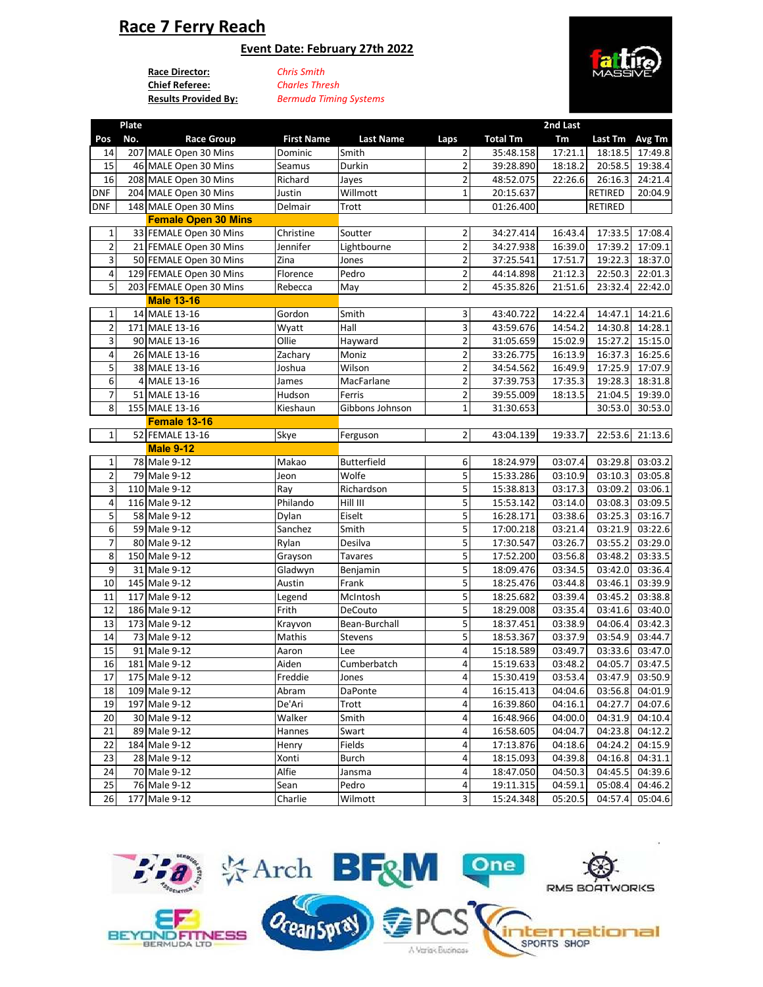# **Race 7 Ferry Reach**

### **Event Date: February 27th 2022**

**Race Director:** *Chris Smith* **Chief Referee:**

**Results Provided By:** *Bermuda Timing Systems Charles Thresh*



|                | Plate |                            |                   |                        |                         |                 | 2nd Last |                |                       |
|----------------|-------|----------------------------|-------------------|------------------------|-------------------------|-----------------|----------|----------------|-----------------------|
| Pos            | No.   | <b>Race Group</b>          | <b>First Name</b> | <b>Last Name</b>       | Laps                    | <b>Total Tm</b> | Tm       | Last Tm        | Avg Tm                |
| 14             |       | 207 MALE Open 30 Mins      | Dominic           | Smith                  | 2                       | 35:48.158       | 17:21.1  | 18:18.5        | 17:49.8               |
| 15             |       | 46 MALE Open 30 Mins       | Seamus            | Durkin                 | 2                       | 39:28.890       | 18:18.2  | 20:58.5        | 19:38.4               |
| 16             |       | 208 MALE Open 30 Mins      | Richard           | Jayes                  | $\overline{2}$          | 48:52.075       | 22:26.6  | 26:16.3        | 24:21.4               |
| <b>DNF</b>     |       | 204 MALE Open 30 Mins      | Justin            | Willmott               | $\mathbf{1}$            | 20:15.637       |          | <b>RETIRED</b> | 20:04.9               |
| <b>DNF</b>     |       | 148 MALE Open 30 Mins      | Delmair           | Trott                  |                         | 01:26.400       |          | RETIRED        |                       |
|                |       | <b>Female Open 30 Mins</b> |                   |                        |                         |                 |          |                |                       |
| $\mathbf{1}$   |       | 33 FEMALE Open 30 Mins     | Christine         | Soutter                | $\overline{2}$          | 34:27.414       | 16:43.4  | 17:33.5        | 17:08.4               |
| $\overline{2}$ |       | 21 FEMALE Open 30 Mins     | Jennifer          | Lightbourne            | $\overline{\mathbf{c}}$ | 34:27.938       | 16:39.0  | 17:39.2        | 17:09.1               |
| 3              |       | 50 FEMALE Open 30 Mins     | Zina              | Jones                  | $\overline{\mathbf{c}}$ | 37:25.541       | 17:51.7  | 19:22.3        | 18:37.0               |
| 4              |       | 129 FEMALE Open 30 Mins    | Florence          | Pedro                  | $\overline{2}$          | 44:14.898       | 21:12.3  | 22:50.3        | 22:01.3               |
| 5              |       | 203 FEMALE Open 30 Mins    | Rebecca           | May                    | $\overline{2}$          | 45:35.826       | 21:51.6  | 23:32.4        | 22:42.0               |
|                |       | <b>Male 13-16</b>          |                   |                        |                         |                 |          |                |                       |
| 1              |       | 14 MALE 13-16              | Gordon            | Smith                  | 3                       | 43:40.722       | 14:22.4  | 14:47.1        | 14:21.6               |
| $\overline{2}$ |       | 171 MALE 13-16             | Wyatt             | Hall                   | 3                       | 43:59.676       | 14:54.2  | 14:30.8        | 14:28.1               |
| 3              |       | 90 MALE 13-16              | Ollie             | Hayward                | $\overline{2}$          | 31:05.659       | 15:02.9  | 15:27.2        | 15:15.0               |
| 4              |       | 26 MALE 13-16              | Zachary           | Moniz                  | $\overline{2}$          | 33:26.775       | 16:13.9  | 16:37.3        | 16:25.6               |
| 5              |       | 38 MALE 13-16              | Joshua            | Wilson                 | $\overline{\mathbf{c}}$ | 34:54.562       | 16:49.9  | 17:25.9        | 17:07.9               |
| 6              |       | 4 MALE 13-16               | James             | MacFarlane             | $\overline{2}$          | 37:39.753       | 17:35.3  | 19:28.3        | 18:31.8               |
| 7              |       | 51 MALE 13-16              | Hudson            | Ferris                 | $\overline{\mathbf{c}}$ | 39:55.009       | 18:13.5  | 21:04.5        | 19:39.0               |
| 8              |       | 155 MALE 13-16             | Kieshaun          | Gibbons Johnson        | $\mathbf 1$             | 31:30.653       |          | 30:53.0        | 30:53.0               |
|                |       | Female 13-16               |                   |                        |                         |                 |          |                |                       |
| $\mathbf 1$    |       | 52 FEMALE 13-16            | Skye              | Ferguson               | $\overline{2}$          | 43:04.139       | 19:33.7  | 22:53.6        | 21:13.6               |
|                |       | <b>Male 9-12</b>           |                   |                        |                         |                 |          |                |                       |
| $\mathbf{1}$   |       | 78 Male 9-12               | Makao             | Butterfield            | 6                       | 18:24.979       | 03:07.4  | 03:29.8        | 03:03.2               |
| 2              |       | 79 Male 9-12               | Jeon              | Wolfe                  | 5                       | 15:33.286       | 03:10.9  | 03:10.3        | 03:05.8               |
| 3              |       | 110 Male 9-12              | Ray               | Richardson             | 5                       | 15:38.813       | 03:17.3  | 03:09.2        | 03:06.1               |
| 4              |       | 116 Male 9-12              | Philando          | $\overline{H}$ ill III | 5                       | 15:53.142       | 03:14.0  | 03:08.3        | 03:09.5               |
| 5              |       | 58 Male 9-12               | Dylan             | Eiselt                 | 5                       | 16:28.171       | 03:38.6  | 03:25.3        | 03:16.7               |
| 6              |       | 59 Male 9-12               | Sanchez           | Smith                  | 5                       | 17:00.218       | 03:21.4  | 03:21.9        | 03:22.6               |
| 7              |       | 80 Male 9-12               | Rylan             | Desilva                | 5                       | 17:30.547       | 03:26.7  | 03:55.2        | 03:29.0               |
| 8              |       | 150 Male 9-12              | Grayson           | <b>Tavares</b>         | 5                       | 17:52.200       | 03:56.8  | 03:48.2        | 03:33.5               |
| 9              |       | 31 Male 9-12               | Gladwyn           | Benjamin               | 5                       | 18:09.476       | 03:34.5  | 03:42.0        | 03:36.4               |
| 10             |       | 145 Male 9-12              | Austin            | Frank                  | 5                       | 18:25.476       | 03:44.8  | 03:46.1        | 03:39.9               |
| 11             |       | 117 Male 9-12              | Legend            | McIntosh               | 5                       | 18:25.682       | 03:39.4  | 03:45.2        | 03:38.8               |
| 12             |       | 186 Male 9-12              | Frith             | DeCouto                | 5                       | 18:29.008       | 03:35.4  | 03:41.6        | 03:40.0               |
| 13             |       | 173 Male 9-12              | Krayvon           | Bean-Burchall          | 5                       | 18:37.451       | 03:38.9  | 04:06.4        | 03:42.3               |
| 14             |       | 73 Male 9-12               | Mathis            | Stevens                | 5                       | 18:53.367       | 03:37.9  | 03:54.9        | 03:44.7               |
| 15             |       | 91 Male 9-12               | Aaron             | Lee                    | 4                       | 15:18.589       | 03:49.7  | 03:33.6        | 03:47.0               |
| 16             |       | 181 Male 9-12              | Aiden             | Cumberbatch            | 4                       | 15:19.633       | 03:48.2  | 04:05.7        | $\overline{0}$ 3:47.5 |
| 17             |       | 175 Male 9-12              | Freddie           | Jones                  | 4                       | 15:30.419       | 03:53.4  |                | 03:47.9 03:50.9       |
| 18             |       | 109 Male 9-12              | Abram             | DaPonte                | 4                       | 16:15.413       | 04:04.6  |                | 03:56.8 04:01.9       |
| 19             |       | 197 Male 9-12              | De'Ari            | Trott                  | 4                       | 16:39.860       | 04:16.1  | 04:27.7        | 04:07.6               |
| 20             |       | 30 Male 9-12               | Walker            | Smith                  | 4                       | 16:48.966       | 04:00.0  | 04:31.9        | 04:10.4               |
| 21             |       | 89 Male 9-12               | Hannes            | Swart                  | 4                       | 16:58.605       | 04:04.7  | 04:23.8        | 04:12.2               |
| 22             |       | 184 Male 9-12              | Henry             | Fields                 | 4                       | 17:13.876       | 04:18.6  | 04:24.2        | 04:15.9               |
| 23             |       | 28 Male 9-12               | Xonti             | Burch                  | 4                       | 18:15.093       | 04:39.8  | 04:16.8        | 04:31.1               |
| 24             |       | 70 Male 9-12               | Alfie             | Jansma                 | 4                       | 18:47.050       | 04:50.3  | 04:45.5        | 04:39.6               |
| 25             |       | 76 Male 9-12               | Sean              | Pedro                  | 4                       | 19:11.315       | 04:59.1  | 05:08.4        | 04:46.2               |
| 26             |       | 177 Male 9-12              | Charlie           | Wilmott                | $\vert$                 | 15:24.348       | 05:20.5  | 04:57.4        | 05:04.6               |
|                |       |                            |                   |                        |                         |                 |          |                |                       |